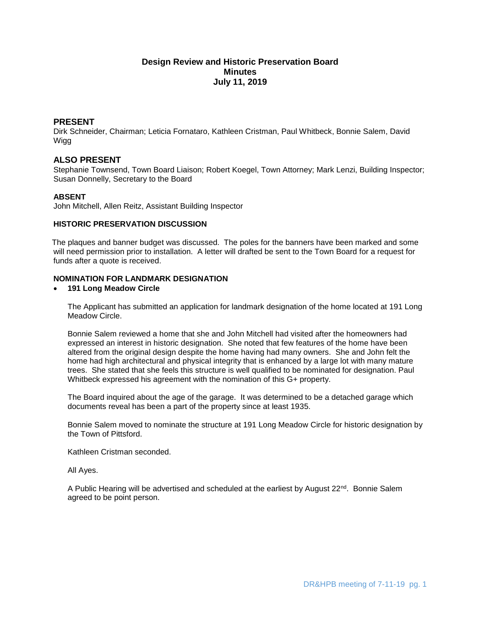# **Design Review and Historic Preservation Board Minutes July 11, 2019**

## **PRESENT**

Dirk Schneider, Chairman; Leticia Fornataro, Kathleen Cristman, Paul Whitbeck, Bonnie Salem, David Wigg

## **ALSO PRESENT**

Stephanie Townsend, Town Board Liaison; Robert Koegel, Town Attorney; Mark Lenzi, Building Inspector; Susan Donnelly, Secretary to the Board

### **ABSENT**

John Mitchell, Allen Reitz, Assistant Building Inspector

### **HISTORIC PRESERVATION DISCUSSION**

The plaques and banner budget was discussed. The poles for the banners have been marked and some will need permission prior to installation. A letter will drafted be sent to the Town Board for a request for funds after a quote is received.

# **NOMINATION FOR LANDMARK DESIGNATION**

## **191 Long Meadow Circle**

The Applicant has submitted an application for landmark designation of the home located at 191 Long Meadow Circle.

Bonnie Salem reviewed a home that she and John Mitchell had visited after the homeowners had expressed an interest in historic designation. She noted that few features of the home have been altered from the original design despite the home having had many owners. She and John felt the home had high architectural and physical integrity that is enhanced by a large lot with many mature trees. She stated that she feels this structure is well qualified to be nominated for designation. Paul Whitbeck expressed his agreement with the nomination of this G+ property.

The Board inquired about the age of the garage. It was determined to be a detached garage which documents reveal has been a part of the property since at least 1935.

Bonnie Salem moved to nominate the structure at 191 Long Meadow Circle for historic designation by the Town of Pittsford.

Kathleen Cristman seconded.

All Ayes.

A Public Hearing will be advertised and scheduled at the earliest by August  $22^{nd}$ . Bonnie Salem agreed to be point person.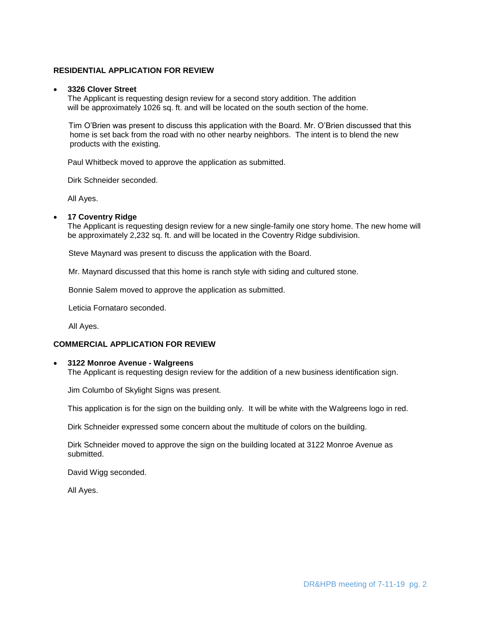## **RESIDENTIAL APPLICATION FOR REVIEW**

#### **3326 Clover Street**

The Applicant is requesting design review for a second story addition. The addition will be approximately 1026 sq. ft. and will be located on the south section of the home.

Tim O'Brien was present to discuss this application with the Board. Mr. O'Brien discussed that this home is set back from the road with no other nearby neighbors. The intent is to blend the new products with the existing.

Paul Whitbeck moved to approve the application as submitted.

Dirk Schneider seconded.

All Ayes.

#### **17 Coventry Ridge**

The Applicant is requesting design review for a new single-family one story home. The new home will be approximately 2,232 sq. ft. and will be located in the Coventry Ridge subdivision.

Steve Maynard was present to discuss the application with the Board.

Mr. Maynard discussed that this home is ranch style with siding and cultured stone.

Bonnie Salem moved to approve the application as submitted.

Leticia Fornataro seconded.

All Ayes.

### **COMMERCIAL APPLICATION FOR REVIEW**

#### **3122 Monroe Avenue - Walgreens**

The Applicant is requesting design review for the addition of a new business identification sign.

Jim Columbo of Skylight Signs was present.

This application is for the sign on the building only. It will be white with the Walgreens logo in red.

Dirk Schneider expressed some concern about the multitude of colors on the building.

Dirk Schneider moved to approve the sign on the building located at 3122 Monroe Avenue as submitted.

David Wigg seconded.

All Ayes.